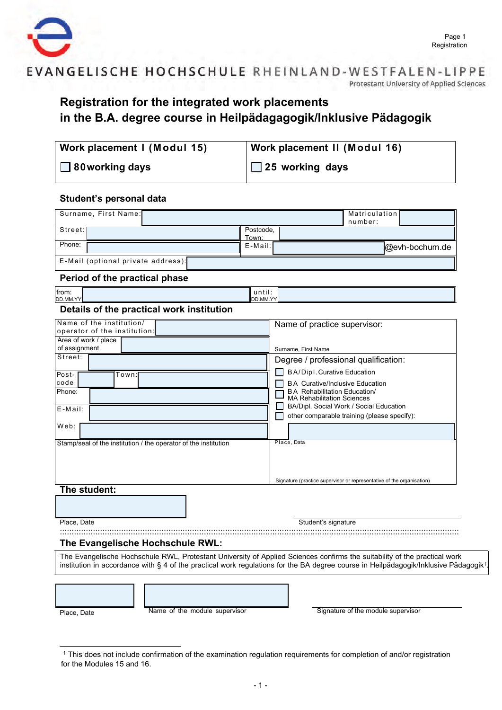

## EVANGELISCHE HOCHSCHULE RHEINLAND-WESTFALEN-LIPPE Protestant University of Applied Sciences

# **Registration for the integrated work placements in the B.A. degree course in Heilpädagagogik/Inklusive Pädagogik**

| Work placement I (Modul 15) | Work placement II (Modul 16) |
|-----------------------------|------------------------------|
| $\Box$ 80 working days      | $\Box$ 25 working days       |

## **Student's personal data**

| Surname, First Name:                                                                                                   |                           | Matriculation<br>number:                                                                                                                                                                                                                                        |
|------------------------------------------------------------------------------------------------------------------------|---------------------------|-----------------------------------------------------------------------------------------------------------------------------------------------------------------------------------------------------------------------------------------------------------------|
| Street:                                                                                                                | Postcode,                 |                                                                                                                                                                                                                                                                 |
| Phone:                                                                                                                 | Town:<br>E-Mail:          | @evh-bochum.de                                                                                                                                                                                                                                                  |
| E-Mail (optional private address):                                                                                     |                           |                                                                                                                                                                                                                                                                 |
| Period of the practical phase                                                                                          |                           |                                                                                                                                                                                                                                                                 |
| from:<br>DD.MM.YY                                                                                                      | until:<br><b>DD.MM.YY</b> |                                                                                                                                                                                                                                                                 |
| Details of the practical work institution                                                                              |                           |                                                                                                                                                                                                                                                                 |
| Name of the institution/<br>operator of the institution<br>Area of work / place                                        |                           | Name of practice supervisor:                                                                                                                                                                                                                                    |
| of assignment<br>Street:                                                                                               |                           | Surname, First Name                                                                                                                                                                                                                                             |
|                                                                                                                        |                           | Degree / professional qualification:<br>BA/Dip1. Curative Education                                                                                                                                                                                             |
| Post-<br>Town:<br>code<br>Phone:<br>E-Mail:<br>Web:<br>Stamp/seal of the institution / the operator of the institution |                           | <b>BA Curative/Inclusive Education</b><br><b>BA Rehabilitation Education/</b><br><b>MA Rehabilitation Sciences</b><br>BA/Dipl. Social Work / Social Education<br>other comparable training (please specify):<br>Place, Data                                     |
|                                                                                                                        |                           | Signature (practice supervisor or representative of the organisation)                                                                                                                                                                                           |
| The student:                                                                                                           |                           |                                                                                                                                                                                                                                                                 |
| Place, Date                                                                                                            |                           | Student's signature                                                                                                                                                                                                                                             |
| The Evangelische Hochschule RWL:                                                                                       |                           |                                                                                                                                                                                                                                                                 |
|                                                                                                                        |                           | The Evangelische Hochschule RWL, Protestant University of Applied Sciences confirms the suitability of the practical work<br>institution in accordance with § 4 of the practical work regulations for the BA degree course in Heilpädagogik/Inklusive Pädagogik |
|                                                                                                                        |                           |                                                                                                                                                                                                                                                                 |

Place, Date **Name of the module supervisor** Signature of the module supervisor

.

<sup>1</sup> This does not include confirmation of the examination regulation requirements for completion of and/or registration for the Modules 15 and 16.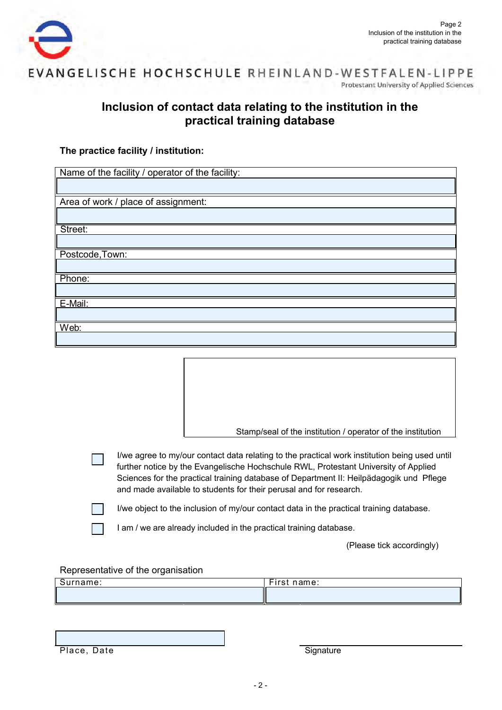



# **Inclusion of contact data relating to the institution in the practical training database**

## **The practice facility / institution:**

| Name of the facility / operator of the facility: |
|--------------------------------------------------|
|                                                  |
| Area of work / place of assignment:              |
|                                                  |
| Street:                                          |
|                                                  |
| Postcode, Town:                                  |
|                                                  |
| Phone:                                           |
|                                                  |
| E-Mail:                                          |
|                                                  |
| Web:                                             |
|                                                  |

Stamp/seal of the institution / operator of the institution

I/we agree to my/our contact data relating to the practical work institution being used until further notice by the Evangelische Hochschule RWL, Protestant University of Applied Sciences for the practical training database of Department II: Heilpädagogik und Pflege and made available to students for their perusal and for research.

I/we object to the inclusion of my/our contact data in the practical training database.

I am / we are already included in the practical training database.

(Please tick accordingly)

#### Representative of the organisation

| ame: | $- \cdot$<br>name:<br>$\cdots$<br>. . |
|------|---------------------------------------|
|      |                                       |

Place, Date Signature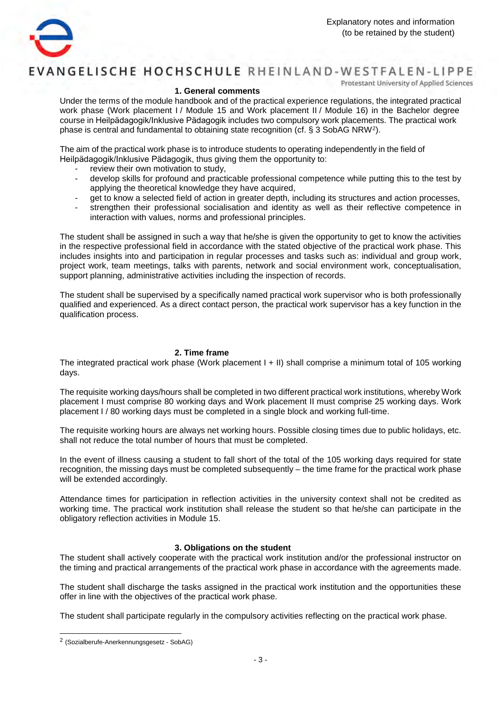

# EVANGELISCHE HOCHSCHULE RHEINLAND-WESTFALEN-LIPPE

Protestant University of Applied Sciences

#### **1. General comments**

Under the terms of the module handbook and of the practical experience regulations, the integrated practical work phase (Work placement I / Module 15 and Work placement II / Module 16) in the Bachelor degree course in Heilpädagogik/Inklusive Pädagogik includes two compulsory work placements. The practical work phase is central and fundamental to obtaining state recognition (cf.  $\S 3$  SobAG NRW<sup>[2](#page-2-0)</sup>).

The aim of the practical work phase is to introduce students to operating independently in the field of Heilpädagogik/Inklusive Pädagogik, thus giving them the opportunity to:

- review their own motivation to study,
- develop skills for profound and practicable professional competence while putting this to the test by applying the theoretical knowledge they have acquired,
- get to know a selected field of action in greater depth, including its structures and action processes,
- strengthen their professional socialisation and identity as well as their reflective competence in interaction with values, norms and professional principles.

The student shall be assigned in such a way that he/she is given the opportunity to get to know the activities in the respective professional field in accordance with the stated objective of the practical work phase. This includes insights into and participation in regular processes and tasks such as: individual and group work, project work, team meetings, talks with parents, network and social environment work, conceptualisation, support planning, administrative activities including the inspection of records.

The student shall be supervised by a specifically named practical work supervisor who is both professionally qualified and experienced. As a direct contact person, the practical work supervisor has a key function in the qualification process.

#### **2. Time frame**

The integrated practical work phase (Work placement I + II) shall comprise a minimum total of 105 working days.

The requisite working days/hours shall be completed in two different practical work institutions, whereby Work placement I must comprise 80 working days and Work placement II must comprise 25 working days. Work placement I / 80 working days must be completed in a single block and working full-time.

The requisite working hours are always net working hours. Possible closing times due to public holidays, etc. shall not reduce the total number of hours that must be completed.

In the event of illness causing a student to fall short of the total of the 105 working days required for state recognition, the missing days must be completed subsequently – the time frame for the practical work phase will be extended accordingly.

Attendance times for participation in reflection activities in the university context shall not be credited as working time. The practical work institution shall release the student so that he/she can participate in the obligatory reflection activities in Module 15.

#### **3. Obligations on the student**

The student shall actively cooperate with the practical work institution and/or the professional instructor on the timing and practical arrangements of the practical work phase in accordance with the agreements made.

The student shall discharge the tasks assigned in the practical work institution and the opportunities these offer in line with the objectives of the practical work phase.

The student shall participate regularly in the compulsory activities reflecting on the practical work phase.

<span id="page-2-0"></span><sup>&</sup>lt;sup>2</sup> (Sozialberufe-Anerkennungsgesetz - SobAG)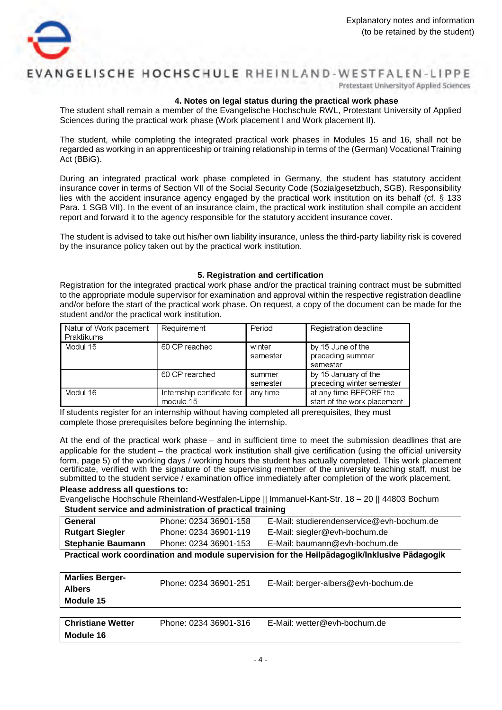

# ANGELISCHE HOCHSCHULE RHEINLAND-WESTFALEN-LIPPE

Protestant University of Applied Sciences

#### **4. Notes on legal status during the practical work phase**

The student shall remain a member of the Evangelische Hochschule RWL, Protestant University of Applied Sciences during the practical work phase (Work placement I and Work placement II).

The student, while completing the integrated practical work phases in Modules 15 and 16, shall not be regarded as working in an apprenticeship or training relationship in terms of the (German) Vocational Training Act (BBiG).

During an integrated practical work phase completed in Germany, the student has statutory accident insurance cover in terms of Section VII of the Social Security Code (Sozialgesetzbuch, SGB). Responsibility lies with the accident insurance agency engaged by the practical work institution on its behalf (cf. § 133 Para. 1 SGB VII). In the event of an insurance claim, the practical work institution shall compile an accident report and forward it to the agency responsible for the statutory accident insurance cover.

The student is advised to take out his/her own liability insurance, unless the third-party liability risk is covered by the insurance policy taken out by the practical work institution.

#### **5. Registration and certification**

Registration for the integrated practical work phase and/or the practical training contract must be submitted to the appropriate module supervisor for examination and approval within the respective registration deadline and/or before the start of the practical work phase. On request, a copy of the document can be made for the student and/or the practical work institution.

| Natur of Work pacement<br>Praktikums | Requirement                             | Period             | Registration deadline                                 |
|--------------------------------------|-----------------------------------------|--------------------|-------------------------------------------------------|
| Modul 15                             | 60 CP reached                           | winter<br>semester | by 15 June of the<br>preceding summer<br>semester     |
|                                      | 60 CP rearched                          | summer<br>semester | by 15 January of the<br>preceding winter semester     |
| Modul 16                             | Internship certificate for<br>module 15 | any time           | at any time BEFORE the<br>start of the work placement |

If students register for an internship without having completed all prerequisites, they must complete those prerequisites before beginning the internship.

submitted to the student service / examination office immediately after completion of the work placement. At the end of the practical work phase – and in sufficient time to meet the submission deadlines that are applicable for the student – the practical work institution shall give certification (using the official university form, page 5) of the working days / working hours the student has actually completed. This work placement certificate, verified with the signature of the supervising member of the university teaching staff, must be

#### **Please address all questions to:**

**Student service and administration of practical training** Evangelische Hochschule Rheinland-Westfalen-Lippe || Immanuel-Kant-Str. 18 – 20 || 44803 Bochum

| Student service and administration or practical training |                       |                                           |  |
|----------------------------------------------------------|-----------------------|-------------------------------------------|--|
| General                                                  | Phone: 0234 36901-158 | E-Mail: studierendenservice@evh-bochum.de |  |
| <b>Rutgart Siegler</b>                                   | Phone: 0234 36901-119 | E-Mail: siegler@evh-bochum.de             |  |
| <b>Stephanie Baumann</b>                                 | Phone: 0234 36901-153 | E-Mail: baumann@evh-bochum.de             |  |
|                                                          |                       |                                           |  |

**Practical work coordination and module supervision for the Heilpädagogik/Inklusive Pädagogik**

| <b>Marlies Berger-</b><br><b>Albers</b><br>Module 15 | Phone: 0234 36901-251 | E-Mail: berger-albers@evh-bochum.de |
|------------------------------------------------------|-----------------------|-------------------------------------|
|                                                      |                       |                                     |
|                                                      |                       |                                     |

| <b>Christiane Wetter</b> | Phone: 0234 36901-316 | E-Mail: wetter@evh-bochum.de |
|--------------------------|-----------------------|------------------------------|
| Module 16                |                       |                              |
|                          |                       |                              |